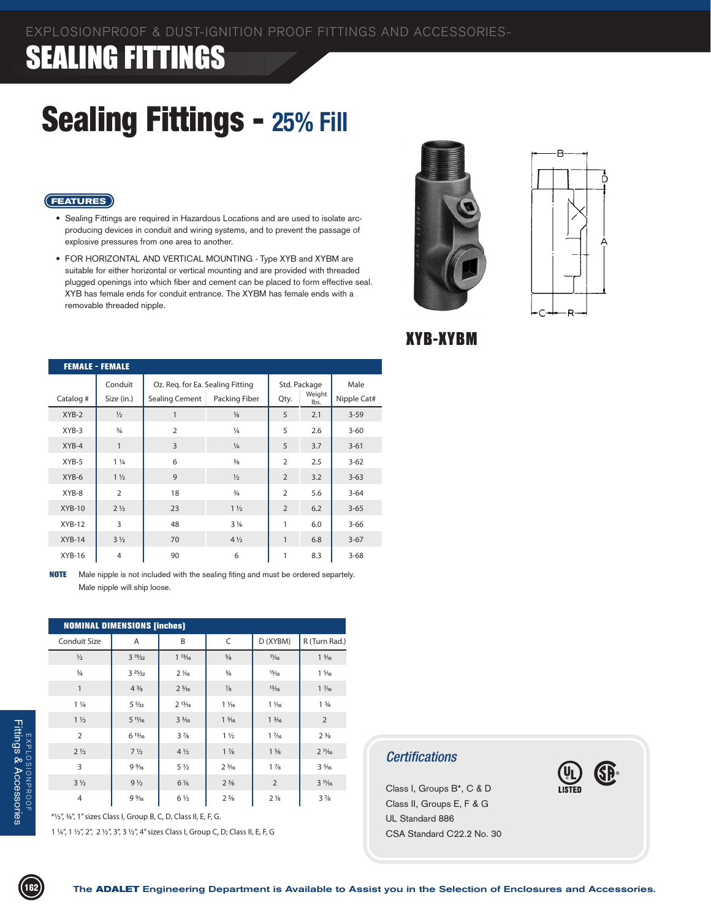### Sealing Fittings - **25% Fill**

#### **FEATURES**

- • Sealing Fittings are required in Hazardous Locations and are used to isolate arc- producing devices in conduit and wiring systems, and to prevent the passage of explosive pressures from one area to another.
- FOR HORIZONTAL AND VERTICAL MOUNTING Type XYB and XYBM are suitable for either horizontal or vertical mounting and are provided with threaded plugged openings into which fiber and cement can be placed to form effective seal. XYB has female ends for conduit entrance. The XYBM has female ends with a removable threaded nipple.





XYB-XYBM

|           | <b>FEMALE - FEMALE</b> |                                  |                |                        |      |             |  |  |  |  |  |
|-----------|------------------------|----------------------------------|----------------|------------------------|------|-------------|--|--|--|--|--|
|           | Conduit                | Oz. Reg. for Ea. Sealing Fitting |                | Std. Package<br>Weight |      | Male        |  |  |  |  |  |
| Catalog # | Size (in.)             | Sealing Cement                   | Packing Fiber  | Qty.                   | lbs. | Nipple Cat# |  |  |  |  |  |
| $XYB-2$   | $\frac{1}{2}$          | 1                                | $\frac{1}{8}$  | 5                      | 2.1  | $3 - 59$    |  |  |  |  |  |
| $XYB-3$   | $\frac{3}{4}$          | $\overline{2}$                   | $\frac{1}{4}$  | 5                      | 2.6  | $3 - 60$    |  |  |  |  |  |
| $XYB-4$   | 1                      | $\overline{3}$                   | $\frac{1}{4}$  | 5                      | 3.7  | $3 - 61$    |  |  |  |  |  |
| XYB-5     | $1\frac{1}{4}$         | 6                                | $\frac{3}{8}$  | $\overline{2}$         | 2.5  | $3 - 62$    |  |  |  |  |  |
| XYB-6     | $1\frac{1}{2}$         | 9                                | $\frac{1}{2}$  | $\overline{2}$         | 3.2  | $3 - 63$    |  |  |  |  |  |
| XYB-8     | $\overline{2}$         | 18                               | $\frac{3}{4}$  | $\overline{2}$         | 5.6  | $3 - 64$    |  |  |  |  |  |
| $XYB-10$  | $2\frac{1}{2}$         | 23                               | $1\frac{1}{2}$ | $\overline{2}$         | 6.2  | $3 - 65$    |  |  |  |  |  |
| $XYB-12$  | 3                      | 48                               | $3\frac{1}{8}$ | 1                      | 6.0  | $3 - 66$    |  |  |  |  |  |
| $XYB-14$  | $3\frac{1}{2}$         | 70                               | $4\frac{1}{2}$ | 1                      | 6.8  | $3-67$      |  |  |  |  |  |
| $XYB-16$  | 4                      | 90                               | 6              | 1                      | 8.3  | $3 - 68$    |  |  |  |  |  |

**NOTE** Male nipple is not included with the sealing fiting and must be ordered separtely. Male nipple will ship loose.

| <b>NOMINAL DIMENSIONS [inches]</b> |                   |                 |                 |                 |                               |  |  |  |  |
|------------------------------------|-------------------|-----------------|-----------------|-----------------|-------------------------------|--|--|--|--|
| <b>Conduit Size</b>                | A                 | B               | C               | D (XYBM)        | R (Turn Rad.)                 |  |  |  |  |
| $\frac{1}{2}$                      | $3^{19/32}$       | 113/16          | $\frac{5}{8}$   | 11/16           | $1\frac{3}{16}$               |  |  |  |  |
| $\frac{3}{4}$                      | 325/32            | $2\frac{1}{6}$  | $\frac{3}{4}$   | 15/16           | $1\frac{5}{16}$               |  |  |  |  |
| $\mathbf{1}$                       | $4\frac{3}{8}$    | $2\frac{5}{16}$ | $\frac{7}{8}$   | 15/16           | $1\frac{7}{6}$                |  |  |  |  |
| $1\frac{1}{4}$                     | $5\frac{5}{32}$   | $2^{13}/16$     | $1\frac{1}{16}$ | $1\frac{1}{6}$  | 1 <sup>3</sup> / <sub>4</sub> |  |  |  |  |
| $1\frac{1}{2}$                     | $5 \frac{11}{16}$ | $3\frac{3}{16}$ | $1\frac{3}{16}$ | $1\frac{3}{16}$ | $\overline{2}$                |  |  |  |  |
| $\overline{2}$                     | 613/16            | $3\frac{7}{8}$  | $1\frac{1}{2}$  | $1\frac{7}{6}$  | $2\frac{3}{8}$                |  |  |  |  |
| $2\frac{1}{2}$                     | $7\frac{1}{2}$    | $4\frac{1}{2}$  | $1\frac{7}{8}$  | $1\frac{5}{8}$  | $2^{11/16}$                   |  |  |  |  |
| 3                                  | 9%                | $5\frac{1}{2}$  | $2\frac{3}{16}$ | $1\frac{7}{8}$  | $3\frac{5}{16}$               |  |  |  |  |
| $3\frac{1}{2}$                     | $9\frac{1}{2}$    | $6\%$           | $2\frac{3}{8}$  | $\overline{2}$  | $3^{11}/16$                   |  |  |  |  |
| $\overline{4}$                     | 9%                | $6\frac{1}{2}$  | $2\frac{5}{8}$  | $2\frac{1}{8}$  | $3\frac{7}{8}$                |  |  |  |  |

 $*1/2$ ", 3/4", 1" sizes Class I, Group B, C, D, Class II, E, F, G.

1 1/4", 1 1/2", 2", 2 1/2", 3", 3 1/2", 4" sizes Class I, Group C, D; Class II, E, F, G

#### *Certifications*

Class I, Groups B\*, C & D Class II, Groups E, F & G UL Standard 886 CSA Standard C22.2 No. 30

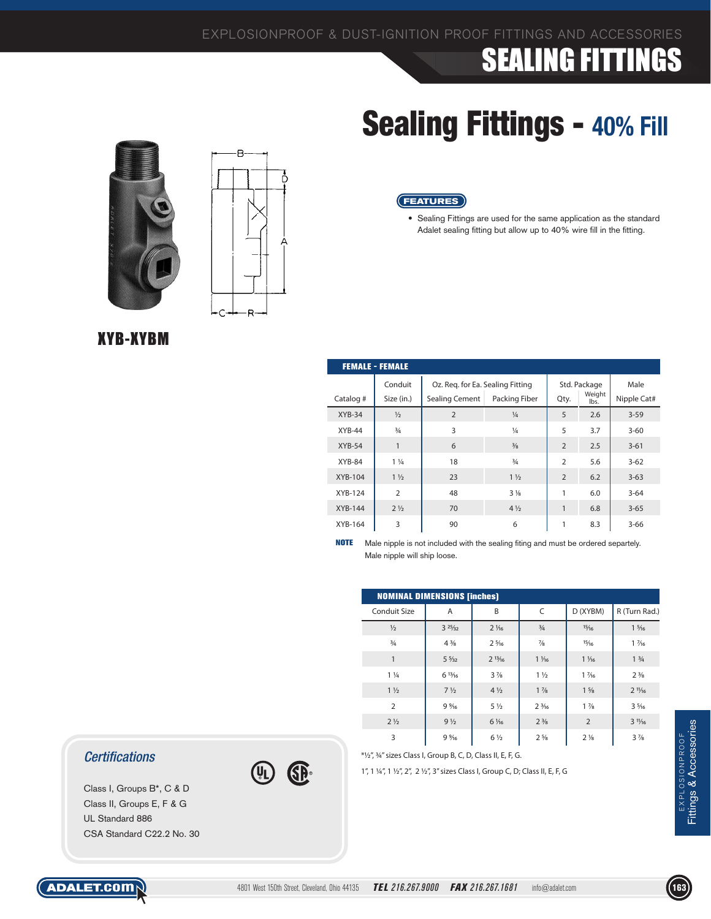**FEATURES**

# **SEALING FITTINGS**

# Sealing Fittings - **40% Fill**

• Sealing Fittings are used for the same application as the standard Adalet sealing fitting but allow up to 40% wire fill in the fitting.





| <b>FEMALE - FEMALE</b> |                       |                                                    |                |                |                        |                     |  |  |  |
|------------------------|-----------------------|----------------------------------------------------|----------------|----------------|------------------------|---------------------|--|--|--|
| Catalog #              | Conduit<br>Size (in.) | Oz. Reg. for Ea. Sealing Fitting<br>Sealing Cement | Packing Fiber  | Qty.           | Std. Package<br>Weight | Male<br>Nipple Cat# |  |  |  |
|                        |                       |                                                    |                |                | lbs.                   |                     |  |  |  |
| $XYB-34$               | $\frac{1}{2}$         | $\overline{2}$                                     | $\frac{1}{4}$  | 5              | 2.6                    | $3 - 59$            |  |  |  |
| $XYB-44$               | $\frac{3}{4}$         | 3                                                  | $\frac{1}{4}$  | 5              | 3.7                    | $3 - 60$            |  |  |  |
| $XYB-54$               | 1                     | 6                                                  | $\frac{3}{8}$  | $\overline{2}$ | 2.5                    | $3 - 61$            |  |  |  |
| $XYB-84$               | $1\frac{1}{4}$        | 18                                                 | $\frac{3}{4}$  | $\overline{2}$ | 5.6                    | $3 - 62$            |  |  |  |
| XYB-104                | $1\frac{1}{2}$        | 23                                                 | $1\frac{1}{2}$ | $\overline{2}$ | 6.2                    | $3 - 63$            |  |  |  |
| XYB-124                | $\overline{2}$        | 48                                                 | $3\frac{1}{8}$ | 1              | 6.0                    | $3 - 64$            |  |  |  |
| <b>XYB-144</b>         | $2\frac{1}{2}$        | 70                                                 | $4\frac{1}{2}$ | 1              | 6.8                    | $3 - 65$            |  |  |  |
| XYB-164                | 3                     | 90                                                 | 6              | 1              | 8.3                    | $3 - 66$            |  |  |  |

**NOTE** Male nipple is not included with the sealing fiting and must be ordered separtely. Male nipple will ship loose.

|                | <b>NOMINAL DIMENSIONS [inches]</b> |                 |                 |                               |                               |  |  |  |  |  |
|----------------|------------------------------------|-----------------|-----------------|-------------------------------|-------------------------------|--|--|--|--|--|
| Conduit Size   | A                                  | B               | C               | D (XYBM)                      | R (Turn Rad.)                 |  |  |  |  |  |
| $\frac{1}{2}$  | 325/32                             | $2\frac{1}{6}$  | $\frac{3}{4}$   | 15/16                         | $1\frac{5}{16}$               |  |  |  |  |  |
| $\frac{3}{4}$  | $4\frac{3}{8}$                     | $2\frac{5}{16}$ | $\frac{7}{8}$   | 15/16                         | $1\frac{7}{6}$                |  |  |  |  |  |
| 1              | $5\frac{5}{32}$                    | $2^{13}/16$     | $1\frac{1}{6}$  | $1\frac{1}{6}$                | 1 <sup>3</sup> / <sub>4</sub> |  |  |  |  |  |
| $1\frac{1}{4}$ | 613/16                             | $3\frac{7}{8}$  | $1\frac{1}{2}$  | $1\frac{7}{6}$                | $2\frac{3}{8}$                |  |  |  |  |  |
| $1\frac{1}{2}$ | $7\frac{1}{2}$                     | $4\frac{1}{2}$  | $1\frac{7}{8}$  | $1\frac{5}{8}$                | $2^{11}/16$                   |  |  |  |  |  |
| $\overline{2}$ | 9%                                 | $5\frac{1}{2}$  | $2\frac{3}{16}$ | $1\frac{7}{8}$                | $3\frac{5}{16}$               |  |  |  |  |  |
| $2\frac{1}{2}$ | 9 <sub>1/2</sub>                   | 6 1/16          | $2\frac{3}{8}$  | $\overline{2}$                | $3^{11}/16$                   |  |  |  |  |  |
| 3              | 9%                                 | $6\frac{1}{2}$  | $2\frac{5}{8}$  | 2 <sup>1</sup> / <sub>8</sub> | $3\frac{7}{8}$                |  |  |  |  |  |

*Certifications*

Class I, Groups B\*, C & D Class II, Groups E, F & G UL Standard 886 CSA Standard C22.2 No. 30 \*1/2", 3/4" sizes Class I, Group B, C, D, Class II, E, F, G.

GE

1", 1 1/4", 1 1/2", 2", 2 1/2", 3" sizes Class I, Group C, D; Class II, E, F, G

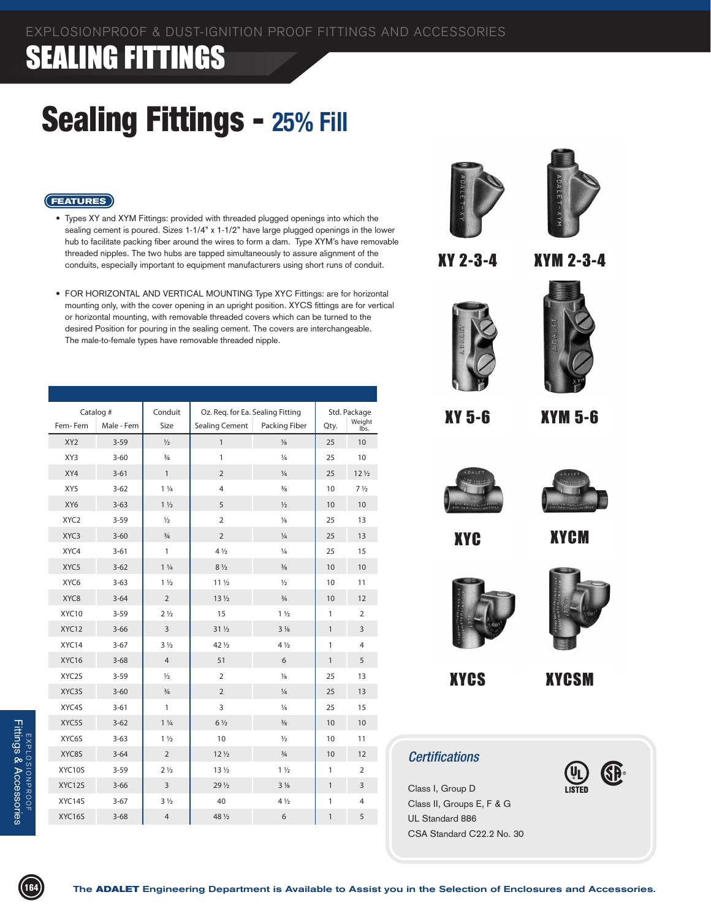#### Sealing Fittings - **25% Fill**



• Types XY and XYM Fittings: provided with threaded plugged openings into which the sealing cement is poured. Sizes 1-1/4" x 1-1/2" have large plugged openings in the lower hub to facilitate packing fiber around the wires to form a dam. Type XYM's have removable threaded nipples. The two hubs are tapped simultaneously to assure alignment of the conduits, especially important to equipment manufacturers using short runs of conduit.





XY 2-3-4

**XY 2-3-4 XYM 2-3-4** XYM 2-3-4





**XY 5-6 XYM 5-6** XY 5-6 XYM 5-6



**XYCM** XYC XYCM



**XYCS XYCSM**



XYCS XYCSM

61)

#### *Certifications*

Class I, Group D Class II, Groups E, F & G UL Standard 886 CSA Standard C22.2 No. 30





• FOR HORIZONTAL AND VERTICAL MOUNTING Type XYC Fittings: are for horizontal mounting only, with the cover opening in an upright position. XYCS fittings are for vertical or horizontal mounting, with removable threaded covers which can be turned to the desired Position for pouring in the sealing cement. The covers are interchangeable. The male-to-female types have removable threaded nipple.

| Catalog # |                  | Conduit    | Oz. Req. for Ea. Sealing Fitting |                       |                | Std. Package |                               |
|-----------|------------------|------------|----------------------------------|-----------------------|----------------|--------------|-------------------------------|
|           | Fem-Fem          | Male - Fem | Size                             | <b>Sealing Cement</b> | Packing Fiber  | Qty.         | Weight<br>Ibs.                |
|           | XY <sub>2</sub>  | $3 - 59$   | $\frac{1}{2}$                    | $\mathbf{1}$          | $\frac{1}{8}$  | 25           | 10                            |
|           | XY3              | $3 - 60$   | $\frac{3}{4}$                    | 1                     | $\frac{1}{4}$  | 25           | 10                            |
|           | XY4              | $3 - 61$   | $\mathbf{1}$                     | $\overline{2}$        | $\frac{1}{4}$  | 25           | 12 <sub>2</sub>               |
|           | XY5              | $3 - 62$   | $1\frac{1}{4}$                   | $\overline{4}$        | $\frac{3}{8}$  | 10           | 7 <sup>1</sup> / <sub>2</sub> |
|           | XY6              | $3 - 63$   | $1\frac{1}{2}$                   | 5                     | $\frac{1}{2}$  | 10           | 10                            |
|           | XYC <sub>2</sub> | $3 - 59$   | $\frac{1}{2}$                    | $\overline{2}$        | $\frac{1}{8}$  | 25           | 13                            |
|           | XYC3             | $3 - 60$   | $\frac{3}{4}$                    | $\overline{2}$        | $\frac{1}{4}$  | 25           | 13                            |
|           | XYC4             | $3 - 61$   | $\mathbf{1}$                     | $4\frac{1}{2}$        | $\frac{1}{4}$  | 25           | 15                            |
|           | XYC <sub>5</sub> | $3 - 62$   | $1\frac{1}{4}$                   | $8\frac{1}{2}$        | $\frac{3}{8}$  | 10           | 10                            |
|           | XYC <sub>6</sub> | $3 - 63$   | $1\frac{1}{2}$                   | 11 <sub>2</sub>       | $\frac{1}{2}$  | 10           | 11                            |
|           | XYC8             | $3 - 64$   | $\overline{2}$                   | 13 <sub>2</sub>       | $\frac{3}{4}$  | 10           | 12                            |
|           | XYC10            | $3 - 59$   | 2 <sub>1/2</sub>                 | 15                    | $1\frac{1}{2}$ | 1            | $\overline{2}$                |
|           | XYC12            | $3 - 66$   | $\overline{3}$                   | $31\frac{1}{2}$       | $3\frac{1}{8}$ | $\mathbf{1}$ | 3                             |
|           | XYC14            | $3 - 67$   | $3\frac{1}{2}$                   | 42 1/2                | $4\frac{1}{2}$ | 1            | 4                             |
|           | XYC16            | $3 - 68$   | $\overline{4}$                   | 51                    | 6              | $\mathbf{1}$ | 5                             |
|           | XYC2S            | $3 - 59$   | $\frac{1}{2}$                    | $\overline{2}$        | $\frac{1}{8}$  | 25           | 13                            |
|           | XYC3S            | $3 - 60$   | $\frac{3}{4}$                    | $\overline{2}$        | $\frac{1}{4}$  | 25           | 13                            |
|           | XYC4S            | $3 - 61$   | $\mathbf{1}$                     | 3                     | $\frac{1}{4}$  | 25           | 15                            |
|           | XYC5S            | $3 - 62$   | $1\frac{1}{4}$                   | $6\frac{1}{2}$        | $\frac{3}{8}$  | 10           | 10                            |
|           | XYC6S            | $3 - 63$   | $1\frac{1}{2}$                   | 10                    | $\frac{1}{2}$  | 10           | 11                            |
|           | XYC8S            | $3 - 64$   | $\overline{2}$                   | $12\frac{1}{2}$       | $\frac{3}{4}$  | 10           | 12                            |
|           | XYC10S           | $3 - 59$   | 2 <sub>1/2</sub>                 | 13 <sub>2</sub>       | $1\frac{1}{2}$ | 1            | $\overline{2}$                |
|           | XYC12S           | $3 - 66$   | $\overline{3}$                   | $29\frac{1}{2}$       | $3\frac{1}{8}$ | $\mathbf{1}$ | 3                             |
|           | XYC14S           | $3 - 67$   | $3\frac{1}{2}$                   | 40                    | $4\frac{1}{2}$ | 1            | 4                             |
|           | XYC16S           | $3 - 68$   | $\overline{4}$                   | 48 1/2                | 6              | $\mathbf{1}$ | 5                             |
|           |                  |            |                                  |                       |                |              |                               |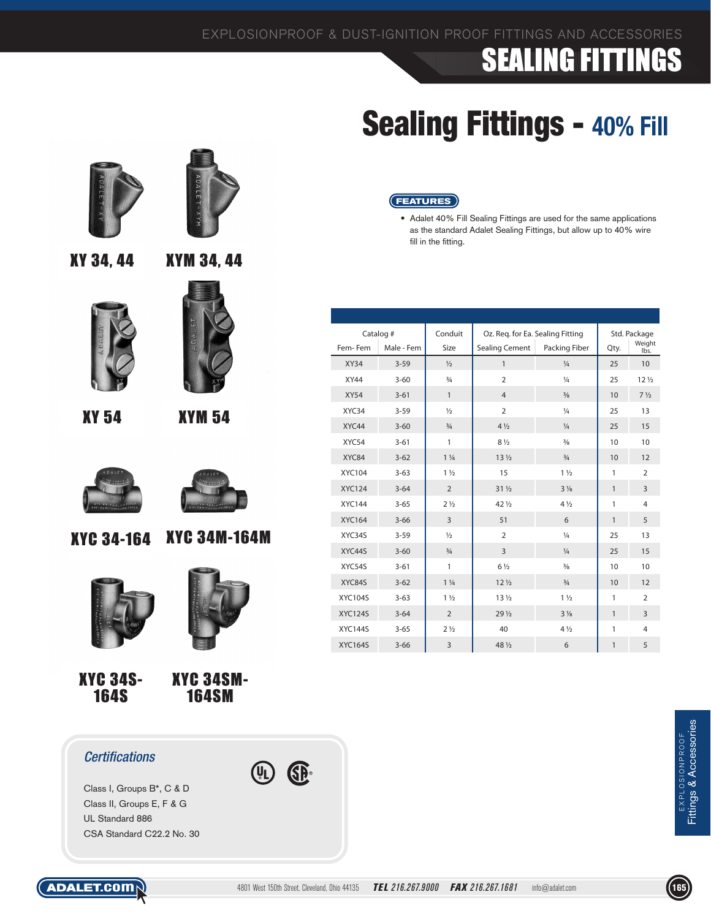# Sealing Fittings - **40% Fill**

#### **FEATURES**

• Adalet 40% Fill Sealing Fittings are used for the same applications as the standard Adalet Sealing Fittings, but allow up to 40% wire fill in the fitting.

|                | Catalog #  | Conduit          | Oz. Req. for Ea. Sealing Fitting |                |              | Std. Package                  |
|----------------|------------|------------------|----------------------------------|----------------|--------------|-------------------------------|
| Fem-Fem        | Male - Fem | Size             | <b>Sealing Cement</b>            | Packing Fiber  | Qty.         | Weight<br>lbs.                |
| <b>XY34</b>    | $3 - 59$   | $\frac{1}{2}$    | 1                                | $\frac{1}{4}$  | 25           | 10                            |
| <b>XY44</b>    | $3 - 60$   | $\frac{3}{4}$    | $\overline{2}$                   | $\frac{1}{4}$  | 25           | 12 <sub>2</sub>               |
| <b>XY54</b>    | $3 - 61$   | $\mathbf{1}$     | $\overline{4}$                   | $\frac{3}{8}$  | 10           | 7 <sup>1</sup> / <sub>2</sub> |
| XYC34          | $3 - 59$   | $\frac{1}{2}$    | $\overline{2}$                   | $\frac{1}{4}$  | 25           | 13                            |
| XYC44          | $3 - 60$   | $\frac{3}{4}$    | $4\frac{1}{2}$                   | $\frac{1}{4}$  | 25           | 15                            |
| XYC54          | $3 - 61$   | 1                | $8\frac{1}{2}$                   | $\frac{3}{8}$  | 10           | 10                            |
| XYC84          | $3 - 62$   | $1\frac{1}{4}$   | 13 <sub>2</sub>                  | $\frac{3}{4}$  | 10           | 12                            |
| <b>XYC104</b>  | $3 - 63$   | $1\frac{1}{2}$   | 15                               | $1\frac{1}{2}$ | $\mathbf{1}$ | $\overline{2}$                |
| <b>XYC124</b>  | $3 - 64$   | $\overline{2}$   | $31\frac{1}{2}$                  | $3\frac{1}{8}$ | $\mathbf{1}$ | 3                             |
| <b>XYC144</b>  | $3 - 65$   | 2 <sub>1/2</sub> | 42 1/2                           | $4\frac{1}{2}$ | 1            | $\overline{4}$                |
| <b>XYC164</b>  | $3 - 66$   | $\overline{3}$   | 51                               | 6              | $\mathbf{1}$ | 5                             |
| XYC34S         | $3 - 59$   | $\frac{1}{2}$    | $\overline{2}$                   | $\frac{1}{4}$  | 25           | 13                            |
| XYC44S         | $3 - 60$   | $\frac{3}{4}$    | $\overline{3}$                   | $\frac{1}{4}$  | 25           | 15                            |
| XYC54S         | $3 - 61$   | 1                | $6\frac{1}{2}$                   | $\frac{3}{8}$  | 10           | 10                            |
| XYC84S         | $3 - 62$   | $1\frac{1}{4}$   | 12 <sub>2</sub>                  | $\frac{3}{4}$  | 10           | 12                            |
| <b>XYC104S</b> | $3 - 63$   | $1\frac{1}{2}$   | 13 <sub>2</sub>                  | $1\frac{1}{2}$ | 1            | $\overline{2}$                |
| <b>XYC124S</b> | $3 - 64$   | $\overline{2}$   | 29 <sub>1/2</sub>                | $3\frac{1}{8}$ | $\mathbf{1}$ | 3                             |
| <b>XYC144S</b> | $3 - 65$   | 2 <sub>1/2</sub> | 40                               | $4\frac{1}{2}$ | 1            | $\overline{4}$                |
| <b>XYC164S</b> | $3 - 66$   | $\overline{3}$   | 48 1/2                           | 6              | 1            | 5                             |





XY 34, 44

XY 54 XYM 54





XYC 34-164 XYC 34M-164M



XYC 34S-164S



XYC 34SM-164SM

#### *Certifications*

Class I, Groups B\*, C & D Class II, Groups E, F & G UL Standard 886 CSA Standard C22.2 No. 30



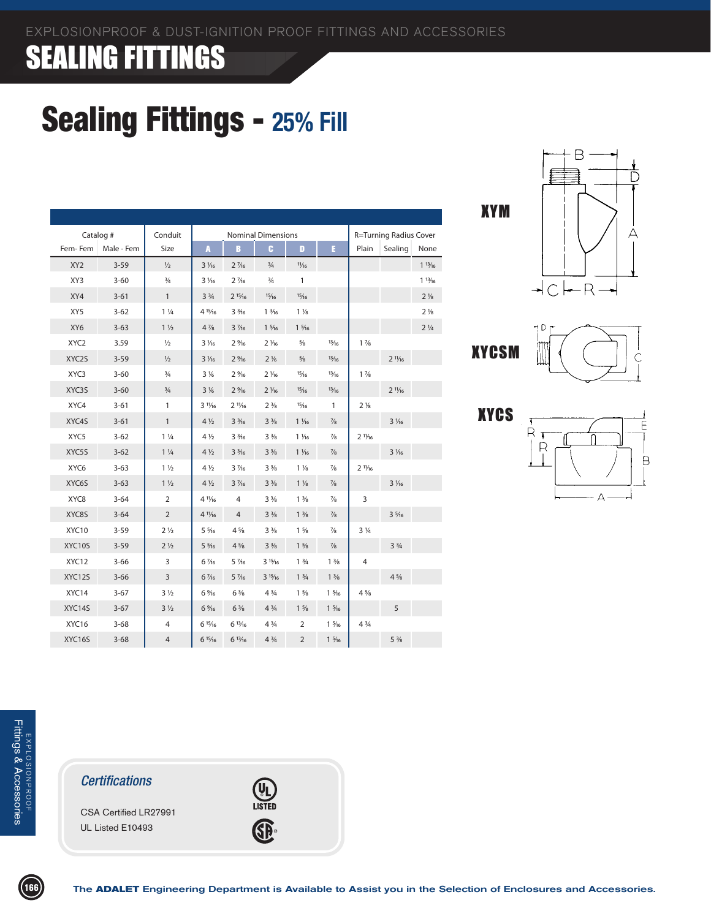# Sealing Fittings - **25% Fill**

|                  | Catalog #  | Conduit                       |                               |                 | <b>Nominal Dimensions</b>     |                               |                               | R=Turning Radius Cover        |                               |                               |
|------------------|------------|-------------------------------|-------------------------------|-----------------|-------------------------------|-------------------------------|-------------------------------|-------------------------------|-------------------------------|-------------------------------|
| Fem-Fem          | Male - Fem | Size                          | A                             | B               | c                             | D                             | F.                            | Plain                         | Sealing                       | None                          |
| XY <sub>2</sub>  | $3 - 59$   | $\frac{1}{2}$                 | $3\frac{1}{6}$                | $2\frac{7}{16}$ | $\frac{3}{4}$                 | 11/16                         |                               |                               |                               | 113/16                        |
| XY3              | $3 - 60$   | $\frac{3}{4}$                 | $3\frac{1}{6}$                | $2\frac{7}{16}$ | $\frac{3}{4}$                 | $\mathbf{1}$                  |                               |                               |                               | 113/16                        |
| XY4              | $3 - 61$   | $\mathbf{1}$                  | 3 <sup>3</sup> / <sub>4</sub> | $2^{15}/16$     | 15/16                         | 15/16                         |                               |                               |                               | $2\frac{1}{8}$                |
| XY5              | $3 - 62$   | $1\frac{1}{4}$                | 4 15/16                       | $3\frac{3}{16}$ | $1\frac{3}{16}$               | $1\frac{1}{8}$                |                               |                               |                               | 2 <sup>1</sup> / <sub>8</sub> |
| XY6              | $3 - 63$   | 1 <sup>1</sup> / <sub>2</sub> | $4\frac{7}{8}$                | $3\frac{7}{16}$ | $1\frac{5}{16}$               | $1\frac{5}{16}$               |                               |                               |                               | $2\frac{1}{4}$                |
| XYC <sub>2</sub> | 3.59       | $\frac{1}{2}$                 | $3\frac{1}{6}$                | $2\frac{9}{16}$ | $2\frac{1}{6}$                | $\frac{5}{8}$                 | 13/16                         | $1\frac{7}{8}$                |                               |                               |
| XYC2S            | $3 - 59$   | $\frac{1}{2}$                 | $3\frac{1}{6}$                | 2%              | $2\frac{1}{6}$                | $\frac{5}{8}$                 | 13/16                         |                               | $2^{11}/16$                   |                               |
| XYC3             | $3 - 60$   | $\frac{3}{4}$                 | $3\frac{1}{6}$                | 2%              | $2\frac{1}{16}$               | 15/16                         | 13/16                         | $1\frac{7}{8}$                |                               |                               |
| XYC3S            | $3 - 60$   | $\frac{3}{4}$                 | $3\frac{1}{6}$                | 2%16            | $2\frac{1}{16}$               | 15/16                         | 13/16                         |                               | $2^{11}/16$                   |                               |
| XYC4             | $3 - 61$   | 1                             | $3\frac{11}{6}$               | $2^{11}/16$     | 2 <sup>3</sup> / <sub>8</sub> | 15/16                         | $\mathbf{1}$                  | 2 <sup>1</sup> / <sub>8</sub> |                               |                               |
| XYC4S            | $3 - 61$   | $\mathbf{1}$                  | $4\frac{1}{2}$                | $3\frac{3}{16}$ | $3\frac{3}{8}$                | $1\frac{1}{6}$                | $\frac{7}{8}$                 |                               | $3\frac{1}{6}$                |                               |
| XYC5             | $3 - 62$   | $1\frac{1}{4}$                | $4\frac{1}{2}$                | $3\frac{3}{16}$ | $3\frac{3}{8}$                | $1\frac{1}{6}$                | $\frac{7}{8}$                 | $2^{11}/16$                   |                               |                               |
| XYC5S            | $3 - 62$   | $1\frac{1}{4}$                | $4\frac{1}{2}$                | $3\frac{3}{16}$ | $3\frac{3}{8}$                | $1\frac{1}{6}$                | $\frac{7}{8}$                 |                               | $3\frac{1}{6}$                |                               |
| XYC6             | $3 - 63$   | $1\frac{1}{2}$                | $4\frac{1}{2}$                | $3\frac{7}{6}$  | 3 <sup>3</sup> / <sub>8</sub> | $1\frac{1}{8}$                | $\frac{7}{8}$                 | $2^{11}/16$                   |                               |                               |
| XYC6S            | $3 - 63$   | $1\frac{1}{2}$                | $4\frac{1}{2}$                | $3\frac{7}{16}$ | $3\frac{3}{8}$                | $1\frac{1}{8}$                | $\frac{7}{8}$                 |                               | $3\frac{1}{16}$               |                               |
| XYC8             | $3 - 64$   | $\overline{2}$                | 4 11/16                       | $\overline{4}$  | $3\frac{3}{8}$                | $1\frac{3}{8}$                | $\frac{7}{8}$                 | 3                             |                               |                               |
| XYC8S            | $3 - 64$   | $\overline{2}$                | $4^{11}/16$                   | $\overline{4}$  | $3\frac{3}{8}$                | $1\frac{3}{8}$                | $\frac{7}{8}$                 |                               | $3\frac{5}{16}$               |                               |
| XYC10            | $3 - 59$   | 2 <sub>1/2</sub>              | $5\frac{5}{16}$               | $4\frac{5}{8}$  | $3\frac{3}{8}$                | $1\frac{5}{8}$                | $\frac{7}{8}$                 | $3\frac{1}{4}$                |                               |                               |
| XYC10S           | $3 - 59$   | 2 <sub>1/2</sub>              | $5\frac{5}{16}$               | $4\frac{5}{8}$  | $3\frac{3}{8}$                | $1\frac{5}{8}$                | $\frac{7}{8}$                 |                               | 3 <sup>3</sup> / <sub>4</sub> |                               |
| XYC12            | $3 - 66$   | 3                             | 6 1/16                        | 5 1/16          | 315/16                        | 1 <sup>3</sup> / <sub>4</sub> | 1 <sup>3</sup> / <sub>8</sub> | 4                             |                               |                               |
| XYC12S           | $3 - 66$   | $\overline{3}$                | 6 1/16                        | $5\frac{7}{16}$ | 315/16                        | 13/4                          | $1\frac{3}{8}$                |                               | $4\frac{5}{8}$                |                               |
| XYC14            | $3-67$     | $3\frac{1}{2}$                | 6 %6                          | $6\frac{3}{8}$  | $4\frac{3}{4}$                | $1\frac{5}{8}$                | $1\frac{5}{16}$               | $4\frac{5}{8}$                |                               |                               |
| XYC14S           | $3-67$     | 3 <sup>1</sup> / <sub>2</sub> | 6%                            | $6\frac{3}{8}$  | $4\frac{3}{4}$                | $1\frac{5}{8}$                | $1\frac{5}{16}$               |                               | 5                             |                               |
| XYC16            | $3 - 68$   | 4                             | 615/16                        | 613/16          | $4\frac{3}{4}$                | 2                             | $1\frac{5}{16}$               | $4\frac{3}{4}$                |                               |                               |
| XYC16S           | $3 - 68$   | $\overline{4}$                | 615/16                        | 613/16          | $4\frac{3}{4}$                | $\overline{2}$                | $1\frac{5}{16}$               |                               | $5\frac{3}{8}$                |                               |

OF THE O

XYM







#### *Certifications*

CSA Certified LR27991 UL Listed E10493



The **ADALET** Engineering Department is Available to Assist you in the Selection of Enclosures and Accessories.